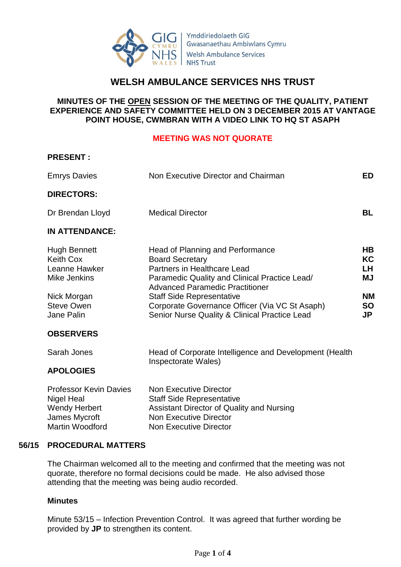

Ymddiriedolaeth GIG Gwasanaethau Ambiwlans Cymru **Welsh Ambulance Services NHS Trust** 

# **WELSH AMBULANCE SERVICES NHS TRUST**

### **MINUTES OF THE OPEN SESSION OF THE MEETING OF THE QUALITY, PATIENT EXPERIENCE AND SAFETY COMMITTEE HELD ON 3 DECEMBER 2015 AT VANTAGE POINT HOUSE, CWMBRAN WITH A VIDEO LINK TO HQ ST ASAPH**

#### **MEETING WAS NOT QUORATE**

#### **PRESENT :**

| <b>Emrys Davies</b>                                                                                                        | Non Executive Director and Chairman                                                                                                                                                                                                                                                                                         | ED                                                    |
|----------------------------------------------------------------------------------------------------------------------------|-----------------------------------------------------------------------------------------------------------------------------------------------------------------------------------------------------------------------------------------------------------------------------------------------------------------------------|-------------------------------------------------------|
| <b>DIRECTORS:</b>                                                                                                          |                                                                                                                                                                                                                                                                                                                             |                                                       |
| Dr Brendan Lloyd                                                                                                           | <b>Medical Director</b>                                                                                                                                                                                                                                                                                                     | <b>BL</b>                                             |
| <b>IN ATTENDANCE:</b>                                                                                                      |                                                                                                                                                                                                                                                                                                                             |                                                       |
| <b>Hugh Bennett</b><br><b>Keith Cox</b><br>Leanne Hawker<br>Mike Jenkins<br>Nick Morgan<br><b>Steve Owen</b><br>Jane Palin | Head of Planning and Performance<br><b>Board Secretary</b><br>Partners in Healthcare Lead<br>Paramedic Quality and Clinical Practice Lead/<br><b>Advanced Paramedic Practitioner</b><br><b>Staff Side Representative</b><br>Corporate Governance Officer (Via VC St Asaph)<br>Senior Nurse Quality & Clinical Practice Lead | HB.<br>KC<br>LH<br>ΜJ<br><b>NM</b><br><b>SO</b><br>JP |
| <b>OBSERVERS</b>                                                                                                           |                                                                                                                                                                                                                                                                                                                             |                                                       |
| Sarah Jones                                                                                                                | Head of Corporate Intelligence and Development (Health<br>Inspectorate Wales)                                                                                                                                                                                                                                               |                                                       |
| <b>APOLOGIES</b>                                                                                                           |                                                                                                                                                                                                                                                                                                                             |                                                       |
| Darfreeda Krista Deistre — Ales Einenstine Diarette                                                                        |                                                                                                                                                                                                                                                                                                                             |                                                       |

| <b>Professor Kevin Davies</b> | <b>Non Executive Director</b>             |
|-------------------------------|-------------------------------------------|
| Nigel Heal                    | <b>Staff Side Representative</b>          |
| <b>Wendy Herbert</b>          | Assistant Director of Quality and Nursing |
| James Mycroft                 | Non Executive Director                    |
| Martin Woodford               | <b>Non Executive Director</b>             |
|                               |                                           |

#### **56/15 PROCEDURAL MATTERS**

The Chairman welcomed all to the meeting and confirmed that the meeting was not quorate, therefore no formal decisions could be made. He also advised those attending that the meeting was being audio recorded.

#### **Minutes**

Minute 53/15 – Infection Prevention Control. It was agreed that further wording be provided by **JP** to strengthen its content.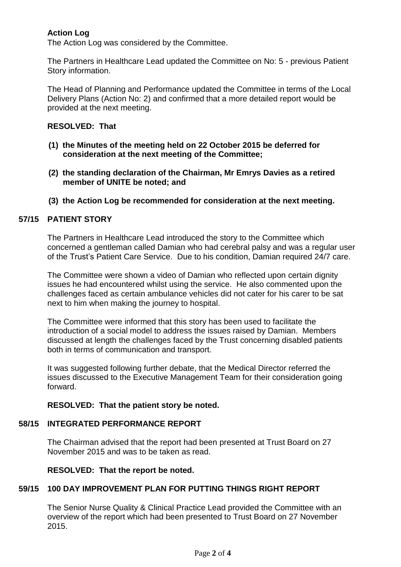## **Action Log**

The Action Log was considered by the Committee.

The Partners in Healthcare Lead updated the Committee on No: 5 - previous Patient Story information.

The Head of Planning and Performance updated the Committee in terms of the Local Delivery Plans (Action No: 2) and confirmed that a more detailed report would be provided at the next meeting.

### **RESOLVED: That**

- **(1) the Minutes of the meeting held on 22 October 2015 be deferred for consideration at the next meeting of the Committee;**
- **(2) the standing declaration of the Chairman, Mr Emrys Davies as a retired member of UNITE be noted; and**
- **(3) the Action Log be recommended for consideration at the next meeting.**

# **57/15 PATIENT STORY**

The Partners in Healthcare Lead introduced the story to the Committee which concerned a gentleman called Damian who had cerebral palsy and was a regular user of the Trust's Patient Care Service. Due to his condition, Damian required 24/7 care.

The Committee were shown a video of Damian who reflected upon certain dignity issues he had encountered whilst using the service. He also commented upon the challenges faced as certain ambulance vehicles did not cater for his carer to be sat next to him when making the journey to hospital.

The Committee were informed that this story has been used to facilitate the introduction of a social model to address the issues raised by Damian. Members discussed at length the challenges faced by the Trust concerning disabled patients both in terms of communication and transport.

It was suggested following further debate, that the Medical Director referred the issues discussed to the Executive Management Team for their consideration going forward.

## **RESOLVED: That the patient story be noted.**

# **58/15 INTEGRATED PERFORMANCE REPORT**

The Chairman advised that the report had been presented at Trust Board on 27 November 2015 and was to be taken as read.

**RESOLVED: That the report be noted.**

# **59/15 100 DAY IMPROVEMENT PLAN FOR PUTTING THINGS RIGHT REPORT**

The Senior Nurse Quality & Clinical Practice Lead provided the Committee with an overview of the report which had been presented to Trust Board on 27 November 2015.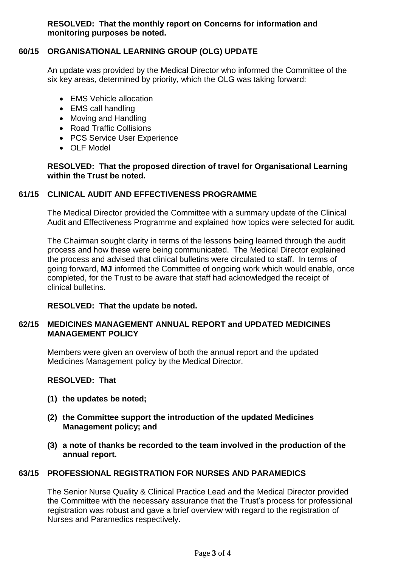**RESOLVED: That the monthly report on Concerns for information and monitoring purposes be noted.**

#### **60/15 ORGANISATIONAL LEARNING GROUP (OLG) UPDATE**

An update was provided by the Medical Director who informed the Committee of the six key areas, determined by priority, which the OLG was taking forward:

- EMS Vehicle allocation
- EMS call handling
- Moving and Handling
- Road Traffic Collisions
- PCS Service User Experience
- OLF Model

#### **RESOLVED: That the proposed direction of travel for Organisational Learning within the Trust be noted.**

#### **61/15 CLINICAL AUDIT AND EFFECTIVENESS PROGRAMME**

The Medical Director provided the Committee with a summary update of the Clinical Audit and Effectiveness Programme and explained how topics were selected for audit.

The Chairman sought clarity in terms of the lessons being learned through the audit process and how these were being communicated. The Medical Director explained the process and advised that clinical bulletins were circulated to staff. In terms of going forward, **MJ** informed the Committee of ongoing work which would enable, once completed, for the Trust to be aware that staff had acknowledged the receipt of clinical bulletins.

#### **RESOLVED: That the update be noted.**

#### **62/15 MEDICINES MANAGEMENT ANNUAL REPORT and UPDATED MEDICINES MANAGEMENT POLICY**

Members were given an overview of both the annual report and the updated Medicines Management policy by the Medical Director.

**RESOLVED: That**

- **(1) the updates be noted;**
- **(2) the Committee support the introduction of the updated Medicines Management policy; and**
- **(3) a note of thanks be recorded to the team involved in the production of the annual report.**

#### **63/15 PROFESSIONAL REGISTRATION FOR NURSES AND PARAMEDICS**

The Senior Nurse Quality & Clinical Practice Lead and the Medical Director provided the Committee with the necessary assurance that the Trust's process for professional registration was robust and gave a brief overview with regard to the registration of Nurses and Paramedics respectively.